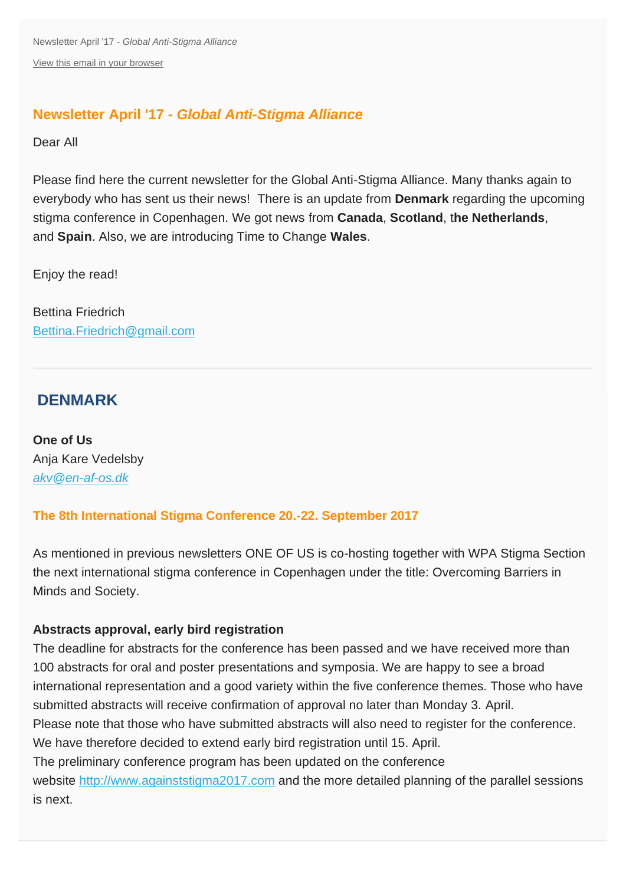Newsletter April '17 - *Global Anti-Stigma Alliance* [View this email in your browser](http://us3.campaign-archive2.com/?u=16552c7ea14c96374c3f9859c&id=2c610d806f&e=6c3997dc93)

## **Newsletter April '17 -** *Global Anti-Stigma Alliance*

Dear All

Please find here the current newsletter for the Global Anti-Stigma Alliance. Many thanks again to everybody who has sent us their news! There is an update from **Denmark** regarding the upcoming stigma conference in Copenhagen. We got news from **Canada**, **Scotland**, t**he Netherlands**, and **Spain**. Also, we are introducing Time to Change **Wales**.

Enjoy the read!

Bettina Friedrich [Bettina.Friedrich@gmail.com](mailto:Bettina.Friedrich@gmail.com)

## **DENMARK**

**One of Us** Anja Kare Vedelsby *[akv@en-af-os.dk](mailto:akv@en-af-os.dk)*

## **The 8th International Stigma Conference 20.-22. September 2017**

As mentioned in previous newsletters ONE OF US is co-hosting together with WPA Stigma Section the next international stigma conference in Copenhagen under the title: Overcoming Barriers in Minds and Society.

#### **Abstracts approval, early bird registration**

The deadline for abstracts for the conference has been passed and we have received more than 100 abstracts for oral and poster presentations and symposia. We are happy to see a broad international representation and a good variety within the five conference themes. Those who have submitted abstracts will receive confirmation of approval no later than Monday 3. April. Please note that those who have submitted abstracts will also need to register for the conference. We have therefore decided to extend early bird registration until 15. April. The preliminary conference program has been updated on the conference website [http://www.againststigma2017.com](http://time-to-change.us3.list-manage1.com/track/click?u=16552c7ea14c96374c3f9859c&id=873c08abe3&e=6c3997dc93) and the more detailed planning of the parallel sessions is next.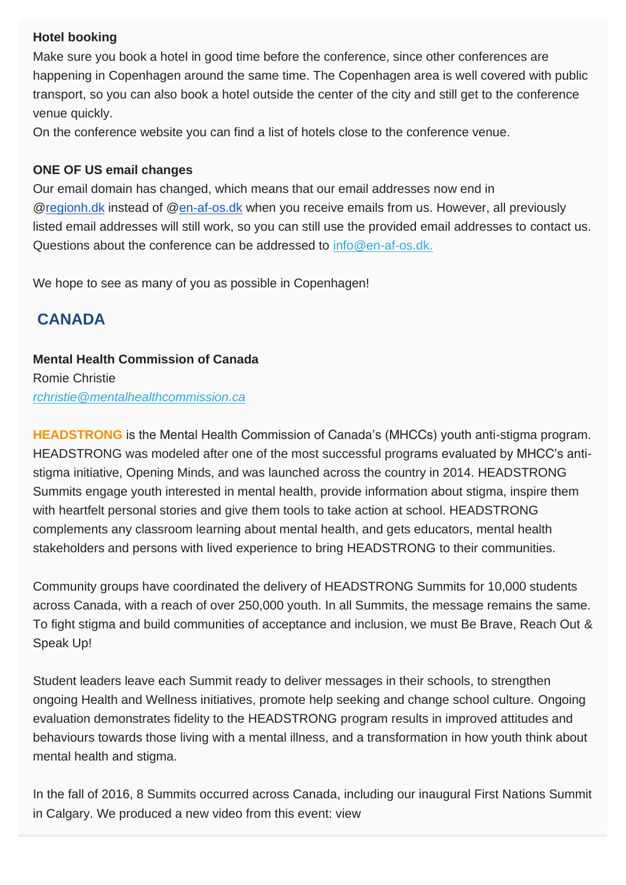#### **Hotel booking**

Make sure you book a hotel in good time before the conference, since other conferences are happening in Copenhagen around the same time. The Copenhagen area is well covered with public transport, so you can also book a hotel outside the center of the city and still get to the conference venue quickly.

On the conference website you can find a list of hotels close to the conference venue.

#### **ONE OF US email changes**

Our email domain has changed, which means that our email addresses now end in [@regionh.dk](http://regionh.dk/) instead of [@en-af-os.dk](http://en-af-os.dk/) when you receive emails from us. However, all previously listed email addresses will still work, so you can still use the provided email addresses to contact us. Questions about the conference can be addressed to [info@en-af-os.dk.](mailto:info@en-af-os.dk.)

We hope to see as many of you as possible in Copenhagen!

## **CANADA**

## **Mental Health Commission of Canada** Romie Christie *[rchristie@mentalhealthcommission.ca](mailto:rchristie@mentalhealthcommission.ca)*

**HEADSTRONG** is the Mental Health Commission of Canada's (MHCCs) youth anti-stigma program. HEADSTRONG was modeled after one of the most successful programs evaluated by MHCC's antistigma initiative, Opening Minds, and was launched across the country in 2014. HEADSTRONG Summits engage youth interested in mental health, provide information about stigma, inspire them with heartfelt personal stories and give them tools to take action at school. HEADSTRONG complements any classroom learning about mental health, and gets educators, mental health

stakeholders and persons with lived experience to bring HEADSTRONG to their communities.

Community groups have coordinated the delivery of HEADSTRONG Summits for 10,000 students across Canada, with a reach of over 250,000 youth. In all Summits, the message remains the same. To fight stigma and build communities of acceptance and inclusion, we must Be Brave, Reach Out & Speak Up!

Student leaders leave each Summit ready to deliver messages in their schools, to strengthen ongoing Health and Wellness initiatives, promote help seeking and change school culture. Ongoing evaluation demonstrates fidelity to the HEADSTRONG program results in improved attitudes and behaviours towards those living with a mental illness, and a transformation in how youth think about mental health and stigma.

In the fall of 2016, 8 Summits occurred across Canada, including our inaugural First Nations Summit in Calgary. We produced a new video from this event: view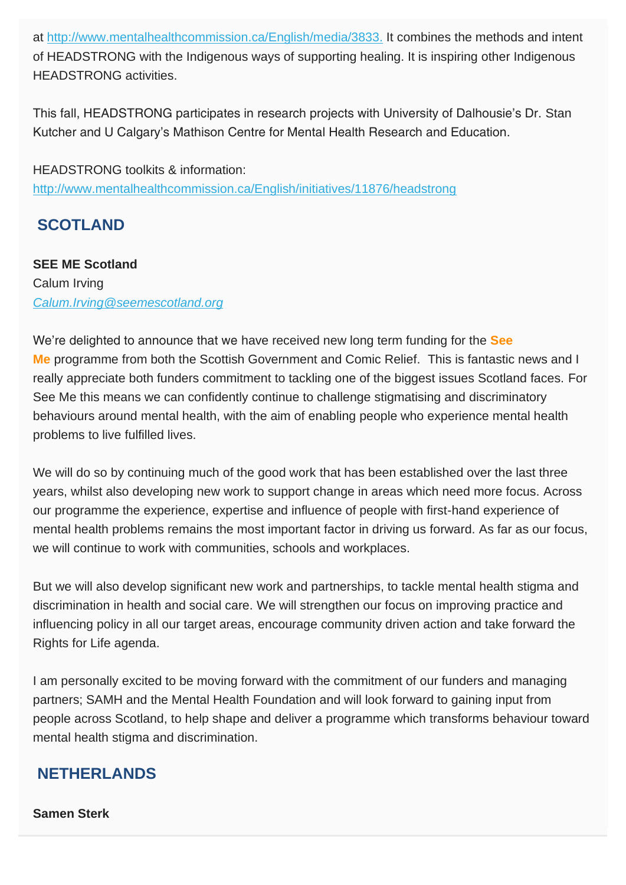at [http://www.mentalhealthcommission.ca/English/media/3833.](http://time-to-change.us3.list-manage2.com/track/click?u=16552c7ea14c96374c3f9859c&id=518fea2bbb&e=6c3997dc93) It combines the methods and intent of HEADSTRONG with the Indigenous ways of supporting healing. It is inspiring other Indigenous HEADSTRONG activities.

This fall, HEADSTRONG participates in research projects with University of Dalhousie's Dr. Stan Kutcher and U Calgary's Mathison Centre for Mental Health Research and Education.

HEADSTRONG toolkits & information: [http://www.mentalhealthcommission.ca/English/initiatives/11876/headstrong](http://time-to-change.us3.list-manage.com/track/click?u=16552c7ea14c96374c3f9859c&id=4321a440cb&e=6c3997dc93)

## **SCOTLAND**

**SEE ME Scotland** Calum Irving *[Calum.Irving@seemescotland.org](mailto:Calum.Irving@seemescotland.org)*

We're delighted to announce that we have received new long term funding for the **See Me** programme from both the Scottish Government and Comic Relief. This is fantastic news and I really appreciate both funders commitment to tackling one of the biggest issues Scotland faces. For See Me this means we can confidently continue to challenge stigmatising and discriminatory behaviours around mental health, with the aim of enabling people who experience mental health problems to live fulfilled lives.

We will do so by continuing much of the good work that has been established over the last three years, whilst also developing new work to support change in areas which need more focus. Across our programme the experience, expertise and influence of people with first-hand experience of mental health problems remains the most important factor in driving us forward. As far as our focus, we will continue to work with communities, schools and workplaces.

But we will also develop significant new work and partnerships, to tackle mental health stigma and discrimination in health and social care. We will strengthen our focus on improving practice and influencing policy in all our target areas, encourage community driven action and take forward the Rights for Life agenda.

I am personally excited to be moving forward with the commitment of our funders and managing partners; SAMH and the Mental Health Foundation and will look forward to gaining input from people across Scotland, to help shape and deliver a programme which transforms behaviour toward mental health stigma and discrimination.

## **NETHERLANDS**

**Samen Sterk**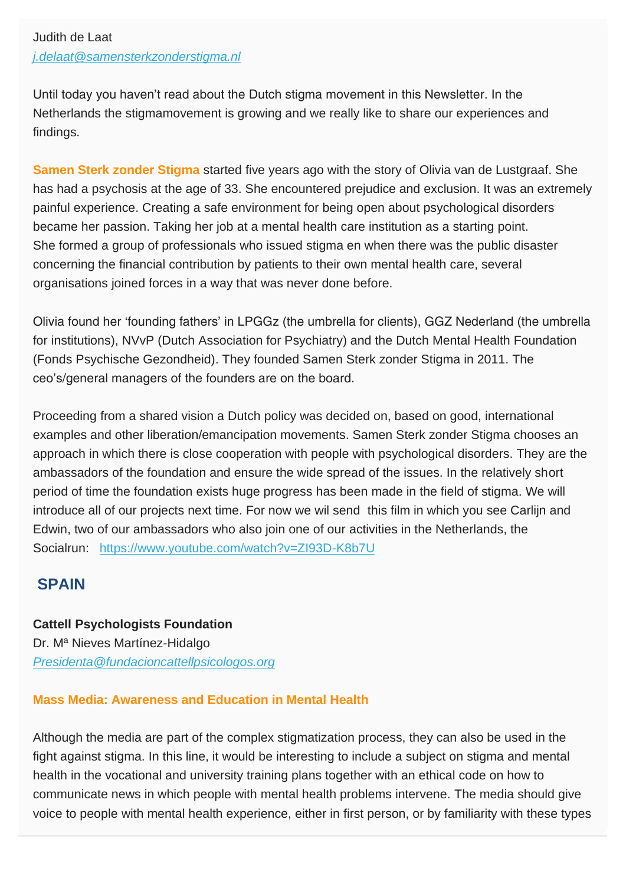## Judith de Laat *[j.delaat@samensterkzonderstigma.nl](mailto:j.delaat@samensterkzonderstigma.nl)*

Until today you haven't read about the Dutch stigma movement in this Newsletter. In the Netherlands the stigmamovement is growing and we really like to share our experiences and findings.

**Samen Sterk zonder Stigma** started five years ago with the story of Olivia van de Lustgraaf. She has had a psychosis at the age of 33. She encountered prejudice and exclusion. It was an extremely painful experience. Creating a safe environment for being open about psychological disorders became her passion. Taking her job at a mental health care institution as a starting point. She formed a group of professionals who issued stigma en when there was the public disaster concerning the financial contribution by patients to their own mental health care, several organisations joined forces in a way that was never done before.

Olivia found her 'founding fathers' in LPGGz (the umbrella for clients), GGZ Nederland (the umbrella for institutions), NVvP (Dutch Association for Psychiatry) and the Dutch Mental Health Foundation (Fonds Psychische Gezondheid). They founded Samen Sterk zonder Stigma in 2011. The ceo's/general managers of the founders are on the board.

Proceeding from a shared vision a Dutch policy was decided on, based on good, international examples and other liberation/emancipation movements. Samen Sterk zonder Stigma chooses an approach in which there is close cooperation with people with psychological disorders. They are the ambassadors of the foundation and ensure the wide spread of the issues. In the relatively short period of time the foundation exists huge progress has been made in the field of stigma. We will introduce all of our projects next time. For now we wil send this film in which you see Carlijn and Edwin, two of our ambassadors who also join one of our activities in the Netherlands, the Socialrun: [https://www.youtube.com/watch?v=ZI93D-K8b7U](http://time-to-change.us3.list-manage.com/track/click?u=16552c7ea14c96374c3f9859c&id=1a2a96785b&e=6c3997dc93)

## **SPAIN**

**Cattell Psychologists Foundation** Dr. Mª Nieves Martínez-Hidalgo *[Presidenta@fundacioncattellpsicologos.org](mailto:Presidenta@fundacioncattellpsicologos.org)*

## **Mass Media: Awareness and Education in Mental Health**

Although the media are part of the complex stigmatization process, they can also be used in the fight against stigma. In this line, it would be interesting to include a subject on stigma and mental health in the vocational and university training plans together with an ethical code on how to communicate news in which people with mental health problems intervene. The media should give voice to people with mental health experience, either in first person, or by familiarity with these types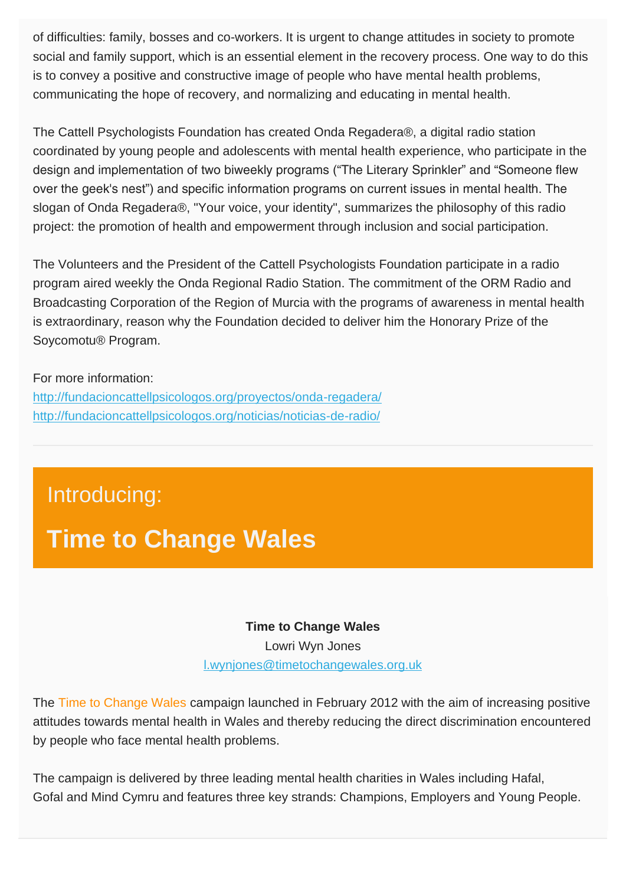of difficulties: family, bosses and co-workers. It is urgent to change attitudes in society to promote social and family support, which is an essential element in the recovery process. One way to do this is to convey a positive and constructive image of people who have mental health problems, communicating the hope of recovery, and normalizing and educating in mental health.

The Cattell Psychologists Foundation has created Onda Regadera®, a digital radio station coordinated by young people and adolescents with mental health experience, who participate in the design and implementation of two biweekly programs ("The Literary Sprinkler" and "Someone flew over the geek's nest") and specific information programs on current issues in mental health. The slogan of Onda Regadera®, "Your voice, your identity", summarizes the philosophy of this radio project: the promotion of health and empowerment through inclusion and social participation.

The Volunteers and the President of the Cattell Psychologists Foundation participate in a radio program aired weekly the Onda Regional Radio Station. The commitment of the ORM Radio and Broadcasting Corporation of the Region of Murcia with the programs of awareness in mental health is extraordinary, reason why the Foundation decided to deliver him the Honorary Prize of the Soycomotu® Program.

#### For more information:

[http://fundacioncattellpsicologos.org/proyectos/onda-regadera/](http://time-to-change.us3.list-manage.com/track/click?u=16552c7ea14c96374c3f9859c&id=f8aa7ae547&e=6c3997dc93) [http://fundacioncattellpsicologos.org/noticias/noticias-de-radio/](http://time-to-change.us3.list-manage.com/track/click?u=16552c7ea14c96374c3f9859c&id=71d64f7f40&e=6c3997dc93)

## Introducing:

# **Time to Change Wales**

#### **Time to Change Wales**

Lowri Wyn Jones [l.wynjones@timetochangewales.org.uk](mailto:l.wynjones@timetochangewales.org.uk)

The Time to Change Wales campaign launched in February 2012 with the aim of increasing positive attitudes towards mental health in Wales and thereby reducing the direct discrimination encountered by people who face mental health problems.

The campaign is delivered by three leading mental health charities in Wales including Hafal, Gofal and Mind Cymru and features three key strands: Champions, Employers and Young People.